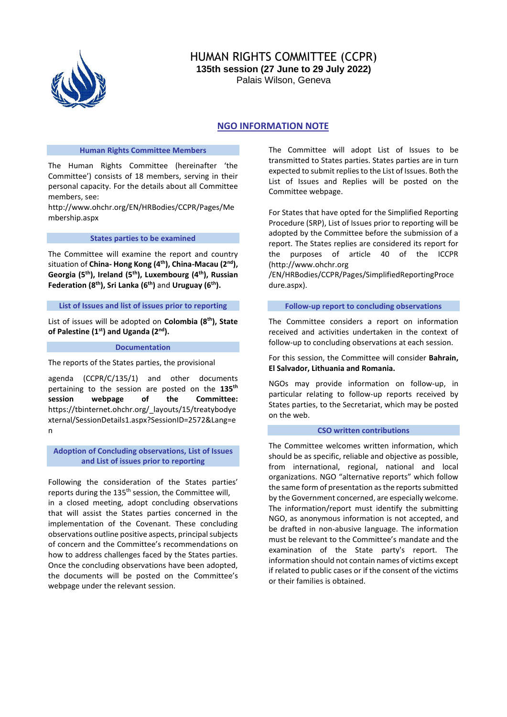

# HUMAN RIGHTS COMMITTEE (CCPR) **135th session (27 June to 29 July 2022)**

Palais Wilson, Geneva

## **NGO INFORMATION NOTE**

#### **Human Rights Committee Members**

The Human Rights Committee (hereinafter 'the Committee') consists of 18 members, serving in their personal capacity. For the details about all Committee members, see:

[http://www.ohchr.org/EN/HRBodies/CCPR/Pages/Me](http://www.ohchr.org/EN/HRBodies/CCPR/Pages/Membership.aspx) [mbership.aspx](http://www.ohchr.org/EN/HRBodies/CCPR/Pages/Membership.aspx)

#### **States parties to be examined**

The Committee will examine the report and country situation of **China- Hong Kong (4th), China-Macau (2nd), Georgia (5th), Ireland (5th), Luxembourg (4th), Russian Federation (8th), Sri Lanka (6th)** and **Uruguay (6th).**

#### **List of Issues and list of issues prior to reporting**

List of issues will be adopted on **Colombia (8th), State of Palestine (1st) and Uganda (2nd).**

#### **Documentation**

### The reports of the States parties, the provisional

agenda (CCPR/C/135/1) and other documents pertaining to the session are posted on the **135th session webpage of the Committee:** [https://tbinternet.ohchr.org/\\_layouts/15/treatybodye](https://tbinternet.ohchr.org/_layouts/15/treatybodyexternal/SessionDetails1.aspx?SessionID=2572&Lang=en) [xternal/SessionDetails1.aspx?SessionID=2572&Lang=e](https://tbinternet.ohchr.org/_layouts/15/treatybodyexternal/SessionDetails1.aspx?SessionID=2572&Lang=en) [n](https://tbinternet.ohchr.org/_layouts/15/treatybodyexternal/SessionDetails1.aspx?SessionID=2572&Lang=en)

**Adoption of Concluding observations, List of Issues and List of issues prior to reporting**

Following the consideration of the States parties' reports during the 135<sup>th</sup> session, the Committee will, in a closed meeting, adopt concluding observations that will assist the States parties concerned in the implementation of the Covenant. These concluding observations outline positive aspects, principal subjects of concern and the Committee's recommendations on how to address challenges faced by the States parties. Once the concluding observations have been adopted, the documents will be posted on the Committee's webpage under the relevant session.

The Committee will adopt List of Issues to be transmitted to States parties. States parties are in turn expected to submit replies to the List of Issues. Both the List of Issues and Replies will be posted on the Committee webpage.

For States that have opted for the Simplified Reporting Procedure (SRP), List of Issues prior to reporting will be adopted by the Committee before the submission of a report. The States replies are considered its report for the purposes of article 40 of the ICCPR [\(http://www.ohchr.org](http://www.ohchr.org/EN/HRBodies/CCPR/Pages/SimplifiedReportingProcedure.aspx)

[/EN/HRBodies/CCPR/Pages/SimplifiedReportingProce](http://www.ohchr.org/EN/HRBodies/CCPR/Pages/SimplifiedReportingProcedure.aspx) [dure.aspx\)](http://www.ohchr.org/EN/HRBodies/CCPR/Pages/SimplifiedReportingProcedure.aspx).

#### **Follow-up report to concluding observations**

The Committee considers a report on information received and activities undertaken in the context of follow-up to concluding observations at each session.

#### For this session, the Committee will consider **Bahrain, El Salvador, Lithuania and Romania.**

NGOs may provide information on follow-up, in particular relating to follow-up reports received by States parties, to the Secretariat, which may be posted on the web.

#### **CSO written contributions**

The Committee welcomes written information, which should be as specific, reliable and objective as possible, from international, regional, national and local organizations. NGO "alternative reports" which follow the same form of presentation as the reports submitted by the Government concerned, are especially welcome. The information/report must identify the submitting NGO, as anonymous information is not accepted, and be drafted in non-abusive language. The information must be relevant to the Committee's mandate and the examination of the State party's report. The information should not contain names of victims except if related to public cases or if the consent of the victims or their families is obtained.